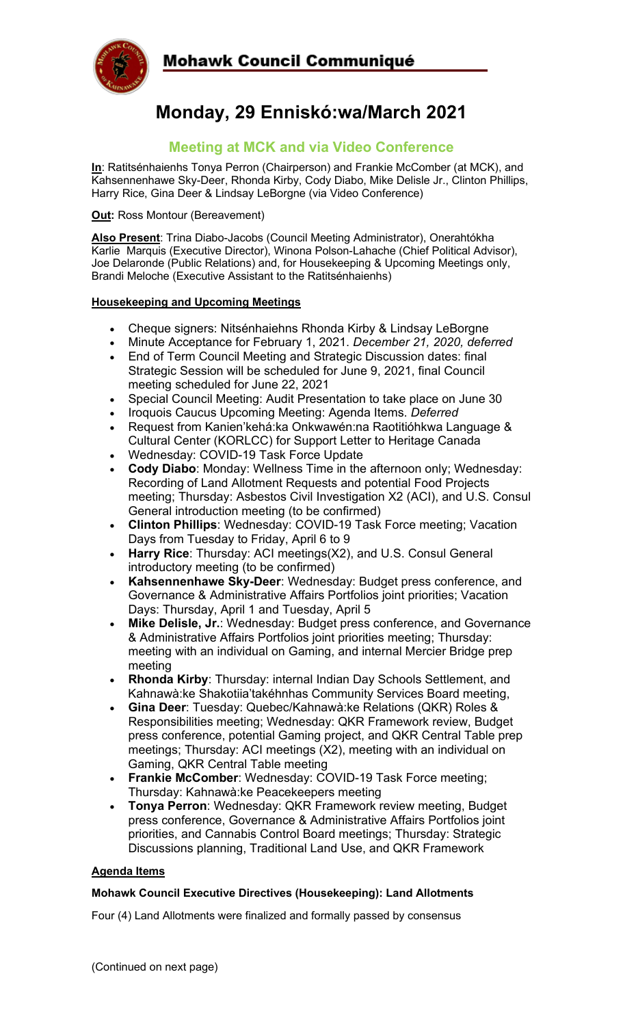## Mohawk Council Communiqué



# **Monday, 29 Enniskó:wa/March 2021**

### **Meeting at MCK and via Video Conference**

**In**: Ratitsénhaienhs Tonya Perron (Chairperson) and Frankie McComber (at MCK), and Kahsennenhawe Sky-Deer, Rhonda Kirby, Cody Diabo, Mike Delisle Jr., Clinton Phillips, Harry Rice, Gina Deer & Lindsay LeBorgne (via Video Conference)

**Out: Ross Montour (Bereavement)** 

**Also Present**: Trina Diabo-Jacobs (Council Meeting Administrator), Onerahtókha Karlie Marquis (Executive Director), Winona Polson-Lahache (Chief Political Advisor), Joe Delaronde (Public Relations) and, for Housekeeping & Upcoming Meetings only, Brandi Meloche (Executive Assistant to the Ratitsénhaienhs)

#### **Housekeeping and Upcoming Meetings**

- Cheque signers: Nitsénhaiehns Rhonda Kirby & Lindsay LeBorgne
- Minute Acceptance for February 1, 2021. *December 21, 2020, deferred*
- End of Term Council Meeting and Strategic Discussion dates: final Strategic Session will be scheduled for June 9, 2021, final Council meeting scheduled for June 22, 2021
- Special Council Meeting: Audit Presentation to take place on June 30
- Iroquois Caucus Upcoming Meeting: Agenda Items. *Deferred*
- Request from Kanien'kehá:ka Onkwawén:na Raotitióhkwa Language & Cultural Center (KORLCC) for Support Letter to Heritage Canada
- Wednesday: COVID-19 Task Force Update
- **Cody Diabo**: Monday: Wellness Time in the afternoon only; Wednesday: Recording of Land Allotment Requests and potential Food Projects meeting; Thursday: Asbestos Civil Investigation X2 (ACI), and U.S. Consul General introduction meeting (to be confirmed)
- **Clinton Phillips**: Wednesday: COVID-19 Task Force meeting; Vacation Days from Tuesday to Friday, April 6 to 9
- **Harry Rice**: Thursday: ACI meetings(X2), and U.S. Consul General introductory meeting (to be confirmed)
- **Kahsennenhawe Sky-Deer**: Wednesday: Budget press conference, and Governance & Administrative Affairs Portfolios joint priorities; Vacation Days: Thursday, April 1 and Tuesday, April 5
- **Mike Delisle, Jr.**: Wednesday: Budget press conference, and Governance & Administrative Affairs Portfolios joint priorities meeting; Thursday: meeting with an individual on Gaming, and internal Mercier Bridge prep meeting
- **Rhonda Kirby**: Thursday: internal Indian Day Schools Settlement, and Kahnawà:ke Shakotiia'takéhnhas Community Services Board meeting,
- **Gina Deer**: Tuesday: Quebec/Kahnawà:ke Relations (QKR) Roles & Responsibilities meeting; Wednesday: QKR Framework review, Budget press conference, potential Gaming project, and QKR Central Table prep meetings; Thursday: ACI meetings (X2), meeting with an individual on Gaming, QKR Central Table meeting
- **Frankie McComber**: Wednesday: COVID-19 Task Force meeting; Thursday: Kahnawà:ke Peacekeepers meeting
- **Tonya Perron**: Wednesday: QKR Framework review meeting, Budget press conference, Governance & Administrative Affairs Portfolios joint priorities, and Cannabis Control Board meetings; Thursday: Strategic Discussions planning, Traditional Land Use, and QKR Framework

#### **Agenda Items**

#### **Mohawk Council Executive Directives (Housekeeping): Land Allotments**

Four (4) Land Allotments were finalized and formally passed by consensus